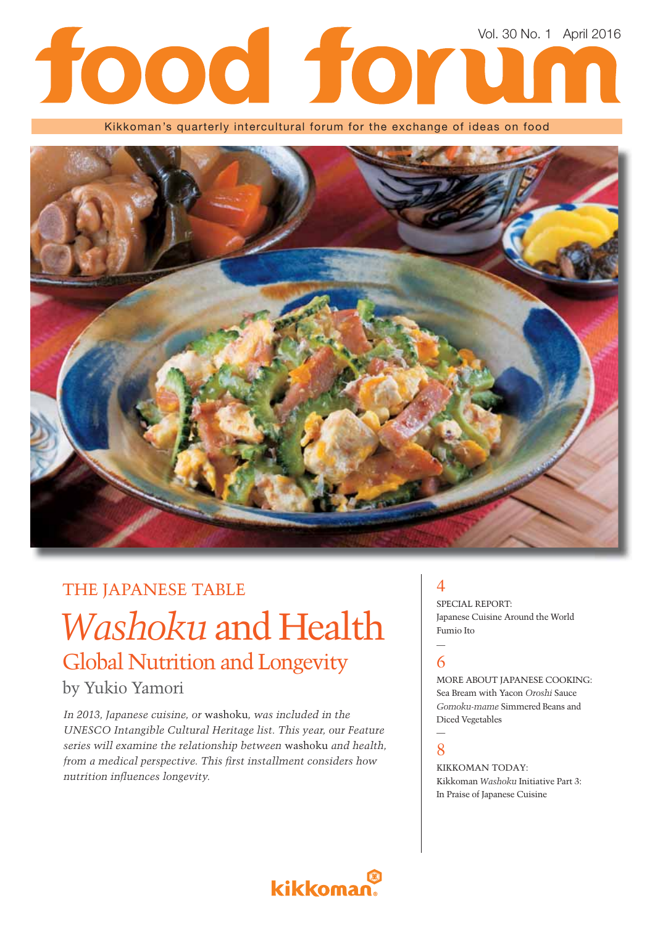# Vol. 30 No. 1 April 2016

Kikkoman's quarterly intercultural forum for the exchange of ideas on food



# THE JAPANESE TABLE

# *Washoku* and Health Global Nutrition and Longevity

## by Yukio Yamori

*In 2013, Japanese cuisine, or* washoku*, was included in the UNESCO Intangible Cultural Heritage list. This year, our Feature series will examine the relationship between* washoku *and health, from a medical perspective. This first installment considers how nutrition infl uences longevity.*

### $\boldsymbol{\Delta}$

SPECIAL REPORT: Japanese Cuisine Around the World Fumio Ito

#### — 6

MORE ABOUT JAPANESE COOKING: Sea Bream with Yacon *Oroshi* Sauce *Gomoku-mame* Simmered Beans and Diced Vegetables

#### — 8

KIKKOMAN TODAY: Kikkoman *Washoku* Initiative Part 3: In Praise of Japanese Cuisine

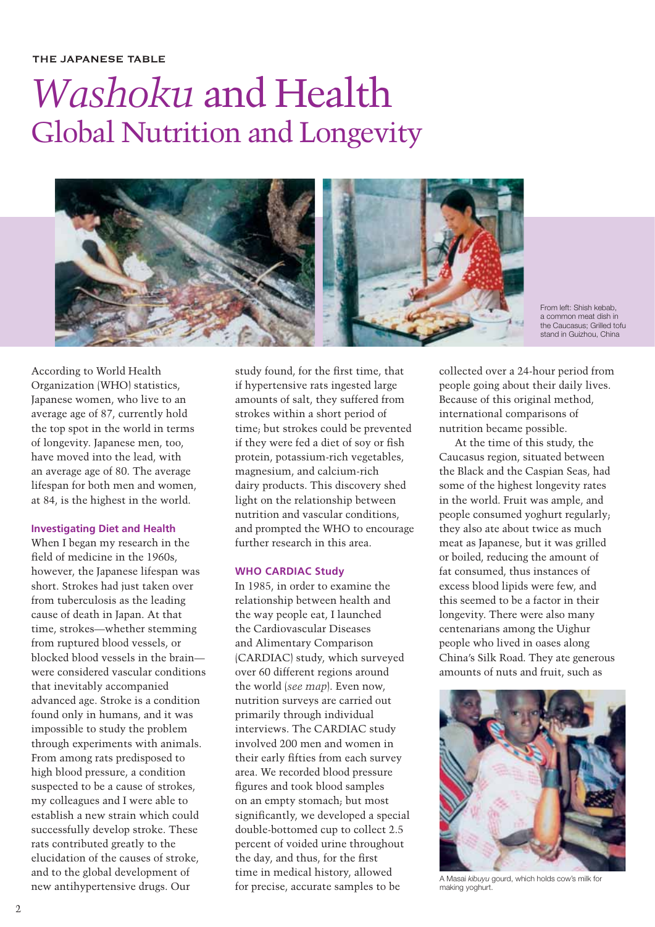# *Washoku* and Health Global Nutrition and Longevity



From left: Shish kebab, a common meat dish in the Caucasus; Grilled tofu stand in Guizhou, China

According to World Health Organization (WHO) statistics, Japanese women, who live to an average age of 87, currently hold the top spot in the world in terms of longevity. Japanese men, too, have moved into the lead, with an average age of 80. The average lifespan for both men and women, at 84, is the highest in the world.

#### **Investigating Diet and Health**

When I began my research in the field of medicine in the 1960s, however, the Japanese lifespan was short. Strokes had just taken over from tuberculosis as the leading cause of death in Japan. At that time, strokes—whether stemming from ruptured blood vessels, or blocked blood vessels in the brain were considered vascular conditions that inevitably accompanied advanced age. Stroke is a condition found only in humans, and it was impossible to study the problem through experiments with animals. From among rats predisposed to high blood pressure, a condition suspected to be a cause of strokes, my colleagues and I were able to establish a new strain which could successfully develop stroke. These rats contributed greatly to the elucidation of the causes of stroke, and to the global development of new antihypertensive drugs. Our

study found, for the first time, that if hypertensive rats ingested large amounts of salt, they suffered from strokes within a short period of time; but strokes could be prevented if they were fed a diet of soy or fish protein, potassium-rich vegetables, magnesium, and calcium-rich dairy products. This discovery shed light on the relationship between nutrition and vascular conditions, and prompted the WHO to encourage further research in this area.

#### **WHO CARDIAC Study**

In 1985, in order to examine the relationship between health and the way people eat, I launched the Cardiovascular Diseases and Alimentary Comparison (CARDIAC) study, which surveyed over 60 different regions around the world (*see map*). Even now, nutrition surveys are carried out primarily through individual interviews. The CARDIAC study involved 200 men and women in their early fifties from each survey area. We recorded blood pressure figures and took blood samples on an empty stomach; but most significantly, we developed a special double-bottomed cup to collect 2.5 percent of voided urine throughout the day, and thus, for the first time in medical history, allowed for precise, accurate samples to be

collected over a 24-hour period from people going about their daily lives. Because of this original method, international comparisons of nutrition became possible.

At the time of this study, the Caucasus region, situated between the Black and the Caspian Seas, had some of the highest longevity rates in the world. Fruit was ample, and people consumed yoghurt regularly; they also ate about twice as much meat as Japanese, but it was grilled or boiled, reducing the amount of fat consumed, thus instances of excess blood lipids were few, and this seemed to be a factor in their longevity. There were also many centenarians among the Uighur people who lived in oases along China's Silk Road. They ate generous amounts of nuts and fruit, such as



A Masai *kibuyu* gourd, which holds cow's milk for making yoghurt.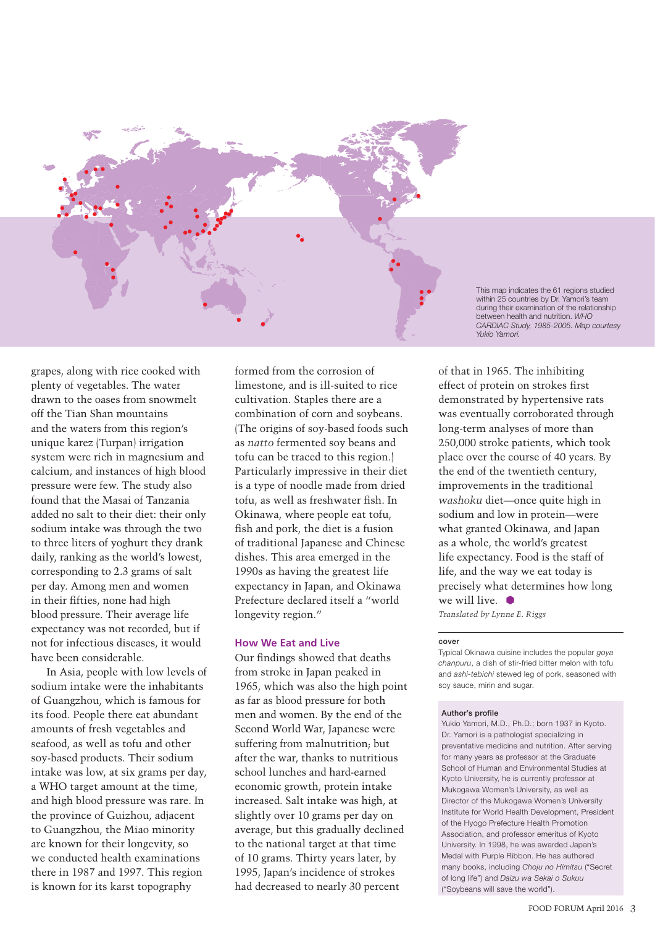This map indicates the 61 regions studied within 25 countries by Dr. Yamori's team during their examination of the relationship between health and nutrition. *WHO CARDIAC Study, 1985-2005. Map courtesy Yukio Yamori.* 

grapes, along with rice cooked with plenty of vegetables. The water drawn to the oases from snowmelt off the Tian Shan mountains and the waters from this region's unique karez (Turpan) irrigation system were rich in magnesium and calcium, and instances of high blood pressure were few. The study also found that the Masai of Tanzania added no salt to their diet: their only sodium intake was through the two to three liters of yoghurt they drank daily, ranking as the world's lowest, corresponding to 2.3 grams of salt per day. Among men and women in their fifties, none had high blood pressure. Their average life expectancy was not recorded, but if not for infectious diseases, it would have been considerable.

In Asia, people with low levels of sodium intake were the inhabitants of Guangzhou, which is famous for its food. People there eat abundant amounts of fresh vegetables and seafood, as well as tofu and other soy-based products. Their sodium intake was low, at six grams per day, a WHO target amount at the time, and high blood pressure was rare. In the province of Guizhou, adjacent to Guangzhou, the Miao minority are known for their longevity, so we conducted health examinations there in 1987 and 1997. This region is known for its karst topography

formed from the corrosion of limestone, and is ill-suited to rice cultivation. Staples there are a combination of corn and soybeans. (The origins of soy-based foods such as *natto* fermented soy beans and tofu can be traced to this region.) Particularly impressive in their diet is a type of noodle made from dried tofu, as well as freshwater fish. In Okinawa, where people eat tofu, fish and pork, the diet is a fusion of traditional Japanese and Chinese dishes. This area emerged in the 1990s as having the greatest life expectancy in Japan, and Okinawa Prefecture declared itself a "world longevity region."

#### **How We Eat and Live**

Our findings showed that deaths from stroke in Japan peaked in 1965, which was also the high point as far as blood pressure for both men and women. By the end of the Second World War, Japanese were suffering from malnutrition; but after the war, thanks to nutritious school lunches and hard-earned economic growth, protein intake increased. Salt intake was high, at slightly over 10 grams per day on average, but this gradually declined to the national target at that time of 10 grams. Thirty years later, by 1995, Japan's incidence of strokes had decreased to nearly 30 percent

of that in 1965. The inhibiting effect of protein on strokes first demonstrated by hypertensive rats was eventually corroborated through long-term analyses of more than 250,000 stroke patients, which took place over the course of 40 years. By the end of the twentieth century, improvements in the traditional *washoku* diet—once quite high in sodium and low in protein—were what granted Okinawa, and Japan as a whole, the world's greatest life expectancy. Food is the staff of life, and the way we eat today is precisely what determines how long we will live.  $\bullet$ 

*Translated by Lynne E. Riggs*

#### **cover**

Typical Okinawa cuisine includes the popular *goya chanpuru*, a dish of stir-fried bitter melon with tofu and *ashi-tebichi* stewed leg of pork, seasoned with soy sauce, mirin and sugar.

#### **Author's profile**

Yukio Yamori, M.D., Ph.D.; born 1937 in Kyoto. Dr. Yamori is a pathologist specializing in preventative medicine and nutrition. After serving for many years as professor at the Graduate School of Human and Environmental Studies at Kyoto University, he is currently professor at Mukogawa Women's University, as well as Director of the Mukogawa Women's University Institute for World Health Development, President of the Hyogo Prefecture Health Promotion Association, and professor emeritus of Kyoto University. In 1998, he was awarded Japan's Medal with Purple Ribbon. He has authored many books, including *Choju no Himitsu* ("Secret of long life") and *Daizu wa Sekai o Sukuu* ("Soybeans will save the world").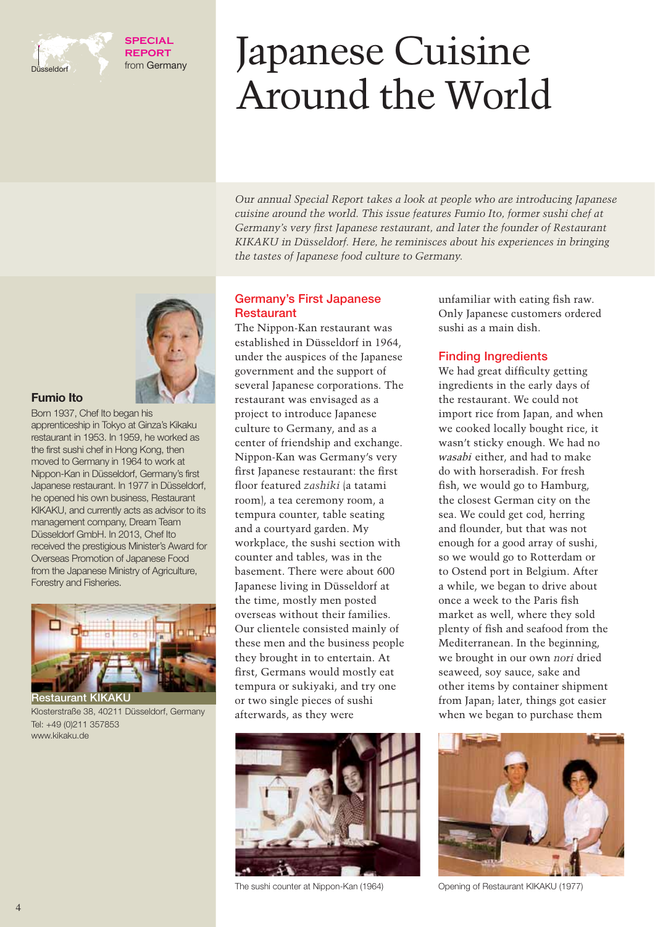

**SPECIAL REPORT** from Germany

# Japanese Cuisine Around the World

*Our annual Special Report takes a look at people who are introducing Japanese cuisine around the world. This issue features Fumio Ito, former sushi chef at Germany's very first Japanese restaurant, and later the founder of Restaurant KIKAKU in Düsseldorf. Here, he reminisces about his experiences in bringing the tastes of Japanese food culture to Germany.*

#### **Germany's First Japanese Restaurant**

The Nippon-Kan restaurant was established in Düsseldorf in 1964, under the auspices of the Japanese government and the support of several Japanese corporations. The restaurant was envisaged as a project to introduce Japanese culture to Germany, and as a center of friendship and exchange. Nippon-Kan was Germany's very first Japanese restaurant: the first fl oor featured *zashiki* (a tatami room), a tea ceremony room, a tempura counter, table seating and a courtyard garden. My workplace, the sushi section with counter and tables, was in the basement. There were about 600 Japanese living in Düsseldorf at the time, mostly men posted overseas without their families. Our clientele consisted mainly of these men and the business people they brought in to entertain. At first, Germans would mostly eat tempura or sukiyaki, and try one or two single pieces of sushi afterwards, as they were



unfamiliar with eating fish raw. Only Japanese customers ordered sushi as a main dish.

#### **Finding Ingredients**

We had great difficulty getting ingredients in the early days of the restaurant. We could not import rice from Japan, and when we cooked locally bought rice, it wasn't sticky enough. We had no wasabi either, and had to make do with horseradish. For fresh fish, we would go to Hamburg, the closest German city on the sea. We could get cod, herring and flounder, but that was not enough for a good array of sushi, so we would go to Rotterdam or to Ostend port in Belgium. After a while, we began to drive about once a week to the Paris fish market as well, where they sold plenty of fish and seafood from the Mediterranean. In the beginning, we brought in our own *nori* dried seaweed, soy sauce, sake and other items by container shipment from Japan; later, things got easier when we began to purchase them



The sushi counter at Nippon-Kan (1964) Opening of Restaurant KIKAKU (1977)



#### **Fumio Ito**

Born 1937, Chef Ito began his apprenticeship in Tokyo at Ginza's Kikaku restaurant in 1953. In 1959, he worked as the first sushi chef in Hong Kong, then moved to Germany in 1964 to work at Nippon-Kan in Düsseldorf, Germany's first Japanese restaurant. In 1977 in Düsseldorf, he opened his own business, Restaurant KIKAKU, and currently acts as advisor to its management company, Dream Team Düsseldorf GmbH. In 2013, Chef Ito received the prestigious Minister's Award for Overseas Promotion of Japanese Food from the Japanese Ministry of Agriculture, Forestry and Fisheries.



**Restaurant KIKAKU** Klosterstraße 38, 40211 Düsseldorf, Germany Tel: +49 (0)211 357853 www.kikaku.de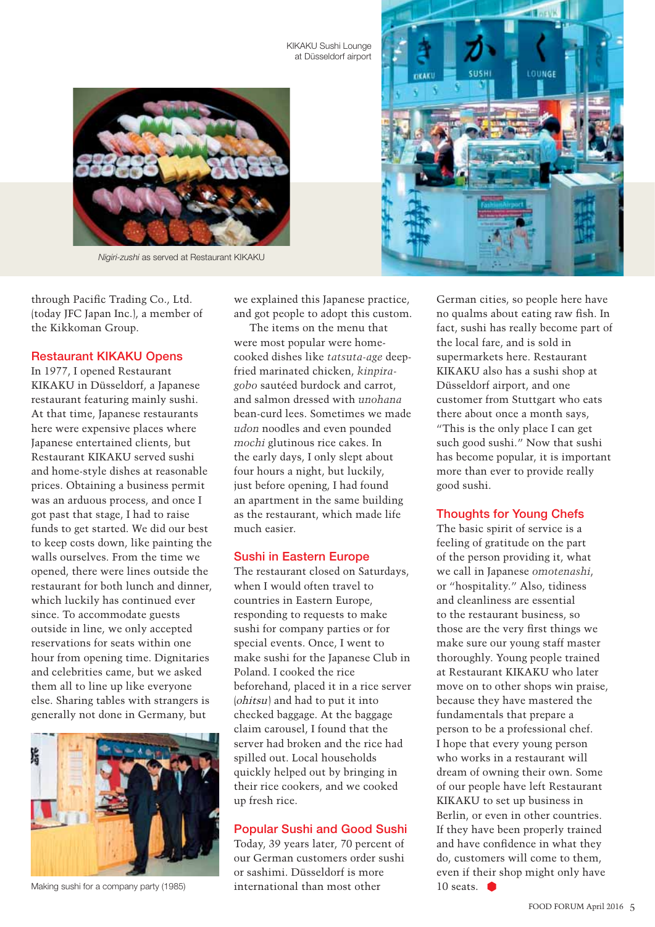KIKAKU Sushi Lounge at Düsseldorf airport



*Nigiri-zushi* as served at Restaurant KIKAKU



through Pacific Trading Co., Ltd. (today JFC Japan Inc.), a member of the Kikkoman Group.

#### **Restaurant KIKAKU Opens**

In 1977, I opened Restaurant KIKAKU in Düsseldorf, a Japanese restaurant featuring mainly sushi. At that time, Japanese restaurants here were expensive places where Japanese entertained clients, but Restaurant KIKAKU served sushi and home-style dishes at reasonable prices. Obtaining a business permit was an arduous process, and once I got past that stage, I had to raise funds to get started. We did our best to keep costs down, like painting the walls ourselves. From the time we opened, there were lines outside the restaurant for both lunch and dinner, which luckily has continued ever since. To accommodate guests outside in line, we only accepted reservations for seats within one hour from opening time. Dignitaries and celebrities came, but we asked them all to line up like everyone else. Sharing tables with strangers is generally not done in Germany, but



Making sushi for a company party (1985)

we explained this Japanese practice, and got people to adopt this custom.

The items on the menu that were most popular were homecooked dishes like *tatsuta-age* deepfried marinated chicken, *kinpiragobo* sautéed burdock and carrot, and salmon dressed with *unohana* bean-curd lees. Sometimes we made *udon* noodles and even pounded *mochi* glutinous rice cakes. In the early days, I only slept about four hours a night, but luckily, just before opening, I had found an apartment in the same building as the restaurant, which made life much easier.

#### **Sushi in Eastern Europe**

The restaurant closed on Saturdays, when I would often travel to countries in Eastern Europe, responding to requests to make sushi for company parties or for special events. Once, I went to make sushi for the Japanese Club in Poland. I cooked the rice beforehand, placed it in a rice server (ohitsu) and had to put it into checked baggage. At the baggage claim carousel, I found that the server had broken and the rice had spilled out. Local households quickly helped out by bringing in their rice cookers, and we cooked up fresh rice.

#### **Popular Sushi and Good Sushi**

Today, 39 years later, 70 percent of our German customers order sushi or sashimi. Düsseldorf is more international than most other

German cities, so people here have no qualms about eating raw fish. In fact, sushi has really become part of the local fare, and is sold in supermarkets here. Restaurant KIKAKU also has a sushi shop at Düsseldorf airport, and one customer from Stuttgart who eats there about once a month says, "This is the only place I can get such good sushi." Now that sushi has become popular, it is important more than ever to provide really good sushi.

#### **Thoughts for Young Chefs**

The basic spirit of service is a feeling of gratitude on the part of the person providing it, what we call in Japanese *omotenashi*, or "hospitality." Also, tidiness and cleanliness are essential to the restaurant business, so those are the very first things we make sure our young staff master thoroughly. Young people trained at Restaurant KIKAKU who later move on to other shops win praise, because they have mastered the fundamentals that prepare a person to be a professional chef. I hope that every young person who works in a restaurant will dream of owning their own. Some of our people have left Restaurant KIKAKU to set up business in Berlin, or even in other countries. If they have been properly trained and have confidence in what they do, customers will come to them, even if their shop might only have 10 seats.  $\bullet$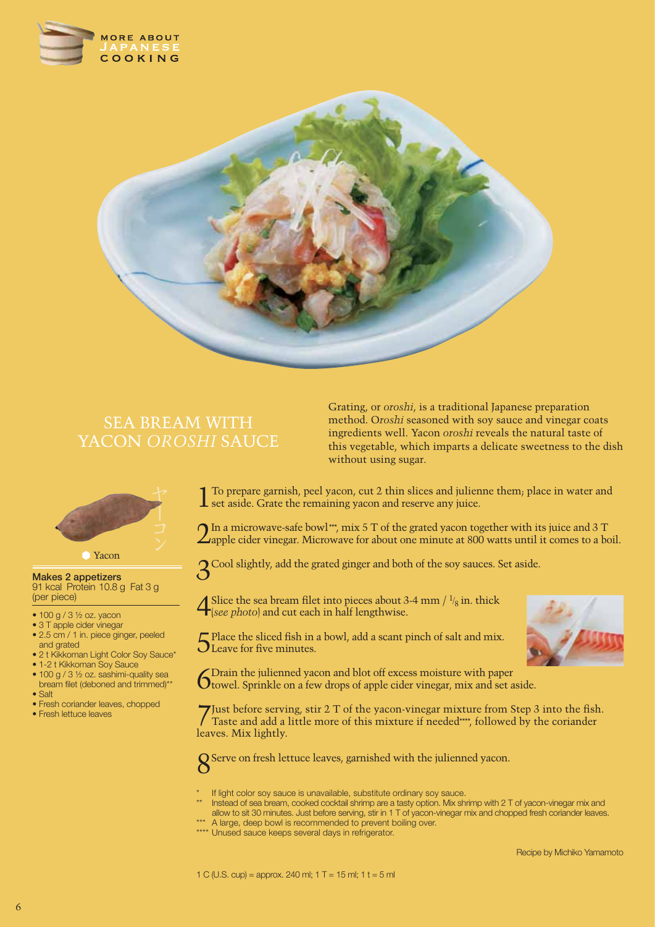



## SEA BREAM WITH YACON *OROSHI* SAUCE

method. O*roshi* seasoned with soy sauce and vinegar coats ingredients well. Yacon *oroshi* reveals the natural taste of this vegetable, which imparts a delicate sweetness to the dish without using sugar.

Grating, or *oroshi*, is a traditional Japanese preparation



Yacon

#### **Makes 2 appetizers** 91 kcal Protein 10.8 g Fat 3 g (per piece)

- 100 g / 3 1/2 oz. yacon
- 
- 3 T apple cider vinegar • 2.5 cm / 1 in. piece ginger, peeled
- and grated
- 2 t Kikkoman Light Color Soy Sauce\*
- 1-2 t Kikkoman Soy Sauce
- 100 g / 3 1/2 oz. sashimi-quality sea bream filet (deboned and trimmed)\*\* • Salt
- Fresh coriander leaves, chopped
- Fresh lettuce leaves

1 To prepare garnish, peel yacon, cut 2 thin slices and julienne them; place in water and  $\perp$  set aside. Grate the remaining yacon and reserve any juice.

 $2$ In a microwave-safe bowl\*\*\*, mix 5 T of the grated yacon together with its juice and 3 T apple cider vinegar. Microwave for about one minute at 800 watts until it comes to a boil.

3Cool slightly, add the grated ginger and both of the soy sauces. Set aside.

A Slice the sea bream filet into pieces about 3-4 mm /  $\frac{1}{8}$  in. thick (*see photo*) and cut each in half lengthwise. (*see photo*) and cut each in half lengthwise.

 $5P$ lace the sliced fish in a bowl, add a scant pinch of salt and mix.<br>DLeave for five minutes.

6Drain the julienned yacon and blot off excess moisture with paper towel. Sprinkle on a few drops of apple cider vinegar, mix and set aside.

Tust before serving, stir 2 T of the yacon-vinegar mixture from Step 3 into the fish.<br>Taste and add a little more of this mixture if needed\*\*\*, followed by the coriander leaves. Mix lightly.

8Serve on fresh lettuce leaves, garnished with the julienned yacon.

If light color soy sauce is unavailable, substitute ordinary soy sauce.

Instead of sea bream, cooked cocktail shrimp are a tasty option. Mix shrimp with 2 T of yacon-vinegar mix and allow to sit 30 minutes. Just before serving, stir in 1 T of yacon-vinegar mix and chopped fresh coriander leaves.

A large, deep bowl is recommended to prevent boiling over. \*\*\*\* Unused sauce keeps several days in refrigerator.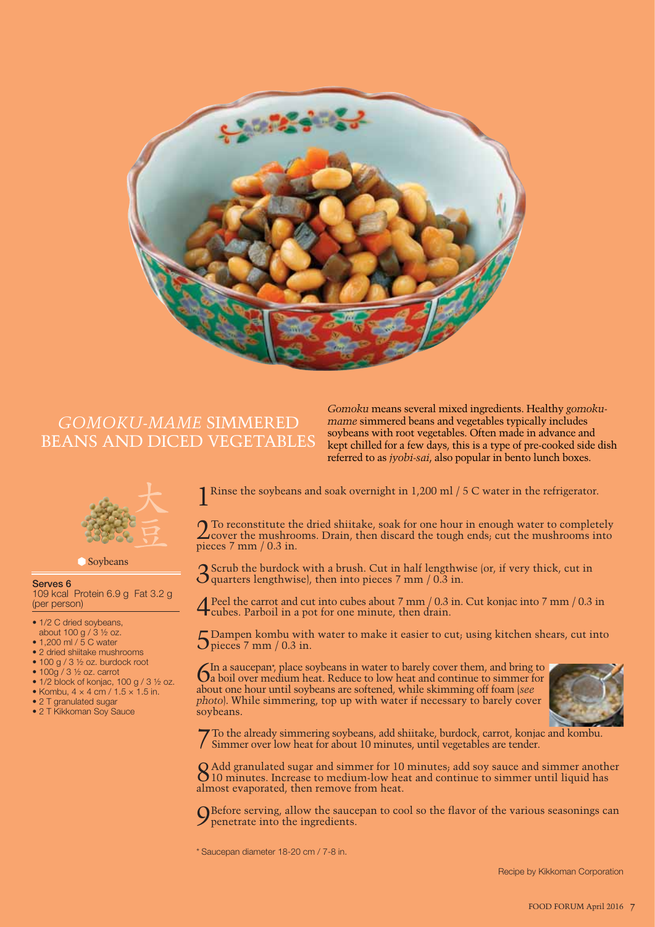

## *GOMOKU-MAME* SIMMERED BEANS AND DICED VEGETABLES

*Gomoku* means several mixed ingredients. Healthy *gomokumame* simmered beans and vegetables typically includes soybeans with root vegetables. Often made in advance and kept chilled for a few days, this is a type of pre-cooked side dish referred to as *jyobi-sai*, also popular in bento lunch boxes.



**Soybeans** 

#### **Serves 6**

109 kcal Protein 6.9 g Fat 3.2 g (per person)

- 1/2 C dried soybeans, about 100 g / 3 ½ oz.
- 1,200 ml / 5 C water
- 2 dried shiitake mushrooms
- 100 g / 3 ½ oz. burdock root
- 100g / 3 ½ oz. carrot
- 1/2 block of konjac, 100 g / 3 ½ oz.
- Kombu,  $4 \times 4$  cm  $/1.5 \times 1.5$  in.
- 2 T granulated sugar
- 2 T Kikkoman Soy Sauce

1 Rinse the soybeans and soak overnight in 1,200 ml / 5 C water in the refrigerator.

2 To reconstitute the dried shiitake, soak for one hour in enough water to completely<br>cover the mushrooms. Drain, then discard the tough ends; cut the mushrooms into pieces 7 mm / 0.3 in.

3Scrub the burdock with a brush. Cut in half lengthwise (or, if very thick, cut in quarters lengthwise), then into pieces 7 mm / 0.3 in.

4Peel the carrot and cut into cubes about 7 mm / 0.3 in. Cut konjac into 7 mm / 0.3 in **4** cubes. Parboil in a pot for one minute, then drain.

5Dampen kombu with water to make it easier to cut; using kitchen shears, cut into pieces 7 mm / 0.3 in.

6In a saucepan\*, place soybeans in water to barely cover them, and bring to a boil over medium heat. Reduce to low heat and continue to simmer for about one hour until soybeans are softened, while skimming off foam (*see photo*). While simmering, top up with water if necessary to barely cover soybeans.



7To the already simmering soybeans, add shiitake, burdock, carrot, konjac and kombu. Simmer over low heat for about 10 minutes, until vegetables are tender.

8Add granulated sugar and simmer for 10 minutes; add soy sauce and simmer another 10 minutes. Increase to medium-low heat and continue to simmer until liquid has almost evaporated, then remove from heat.

 $9$ Before serving, allow the saucepan to cool so the flavor of the various seasonings can penetrate into the ingredients.

\* Saucepan diameter 18-20 cm / 7-8 in.

Recipe by Kikkoman Corporation